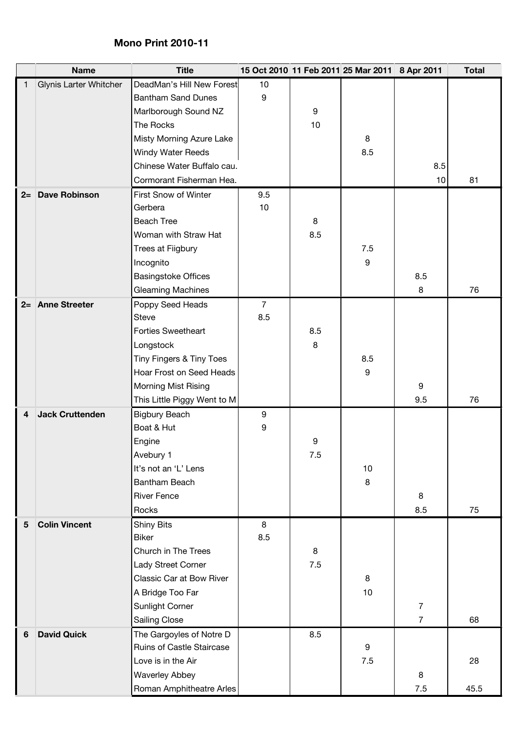## **Mono Print 2010-11**

|      | <b>Name</b>            | <b>Title</b>                          |                       |     | 15 Oct 2010 11 Feb 2011 25 Mar 2011 8 Apr 2011 |                | <b>Total</b> |
|------|------------------------|---------------------------------------|-----------------------|-----|------------------------------------------------|----------------|--------------|
| 1    | Glynis Larter Whitcher | DeadMan's Hill New Forest             | 10                    |     |                                                |                |              |
|      |                        | <b>Bantham Sand Dunes</b>             | 9                     |     |                                                |                |              |
|      |                        | Marlborough Sound NZ                  |                       | 9   |                                                |                |              |
|      |                        | The Rocks                             |                       | 10  |                                                |                |              |
|      |                        | Misty Morning Azure Lake              |                       |     | 8                                              |                |              |
|      |                        | Windy Water Reeds                     |                       |     | 8.5                                            |                |              |
|      |                        | Chinese Water Buffalo cau.            |                       |     |                                                | 8.5            |              |
|      |                        | Cormorant Fisherman Hea.              |                       |     |                                                | 10             | 81           |
| $2=$ | <b>Dave Robinson</b>   | First Snow of Winter                  | 9.5                   |     |                                                |                |              |
|      |                        | Gerbera                               | 10                    |     |                                                |                |              |
|      |                        | <b>Beach Tree</b>                     |                       | 8   |                                                |                |              |
|      |                        | Woman with Straw Hat                  |                       | 8.5 |                                                |                |              |
|      |                        | Trees at Fiigbury                     |                       |     | 7.5                                            |                |              |
|      |                        | Incognito                             |                       |     | 9                                              |                |              |
|      |                        | <b>Basingstoke Offices</b>            |                       |     |                                                | 8.5            |              |
|      |                        | <b>Gleaming Machines</b>              |                       |     |                                                | 8              | 76           |
|      | 2= Anne Streeter       | Poppy Seed Heads<br><b>Steve</b>      | $\overline{7}$<br>8.5 |     |                                                |                |              |
|      |                        | <b>Forties Sweetheart</b>             |                       | 8.5 |                                                |                |              |
|      |                        |                                       |                       |     |                                                |                |              |
|      |                        | Longstock<br>Tiny Fingers & Tiny Toes |                       | 8   | 8.5                                            |                |              |
|      |                        | Hoar Frost on Seed Heads              |                       |     | 9                                              |                |              |
|      |                        | Morning Mist Rising                   |                       |     |                                                | 9              |              |
|      |                        | This Little Piggy Went to M           |                       |     |                                                | 9.5            | 76           |
| 4    | <b>Jack Cruttenden</b> | <b>Bigbury Beach</b>                  | 9                     |     |                                                |                |              |
|      |                        | Boat & Hut                            | 9                     |     |                                                |                |              |
|      |                        | Engine                                |                       | 9   |                                                |                |              |
|      |                        | Avebury 1                             |                       | 7.5 |                                                |                |              |
|      |                        | It's not an 'L' Lens                  |                       |     | 10                                             |                |              |
|      |                        | Bantham Beach                         |                       |     | 8                                              |                |              |
|      |                        | <b>River Fence</b>                    |                       |     |                                                | 8              |              |
|      |                        | Rocks                                 |                       |     |                                                | 8.5            | 75           |
| 5    | <b>Colin Vincent</b>   | <b>Shiny Bits</b>                     | 8                     |     |                                                |                |              |
|      |                        | <b>Biker</b>                          | 8.5                   |     |                                                |                |              |
|      |                        | Church in The Trees                   |                       | 8   |                                                |                |              |
|      |                        | Lady Street Corner                    |                       | 7.5 |                                                |                |              |
|      |                        | Classic Car at Bow River              |                       |     | 8                                              |                |              |
|      |                        | A Bridge Too Far                      |                       |     | 10                                             |                |              |
|      |                        | Sunlight Corner                       |                       |     |                                                | $\overline{7}$ |              |
|      |                        | <b>Sailing Close</b>                  |                       |     |                                                | $\overline{7}$ | 68           |
| 6    | <b>David Quick</b>     | The Gargoyles of Notre D              |                       | 8.5 |                                                |                |              |
|      |                        | Ruins of Castle Staircase             |                       |     | 9                                              |                |              |
|      |                        | Love is in the Air                    |                       |     | 7.5                                            |                | 28           |
|      |                        | <b>Waverley Abbey</b>                 |                       |     |                                                | 8              |              |
|      |                        | Roman Amphitheatre Arles              |                       |     |                                                | 7.5            | 45.5         |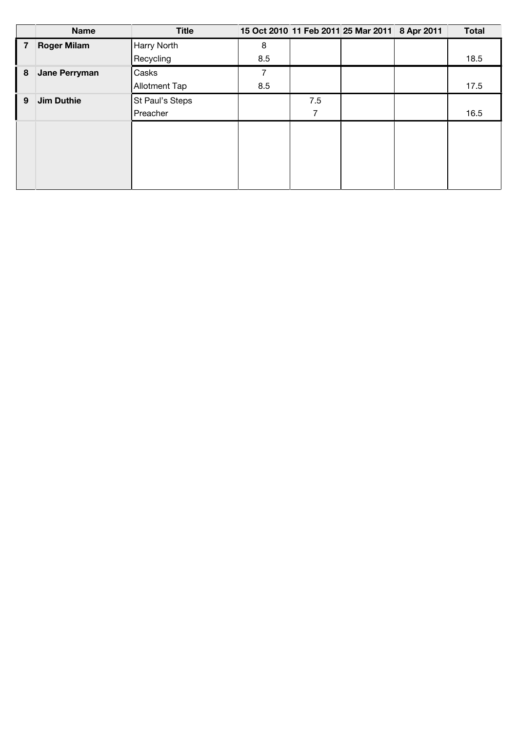|   | <b>Name</b>        | <b>Title</b>    |     |     | 15 Oct 2010 11 Feb 2011 25 Mar 2011 8 Apr 2011 | <b>Total</b> |
|---|--------------------|-----------------|-----|-----|------------------------------------------------|--------------|
| 7 | <b>Roger Milam</b> | Harry North     | 8   |     |                                                |              |
|   |                    | Recycling       | 8.5 |     |                                                | 18.5         |
| 8 | Jane Perryman      | Casks           |     |     |                                                |              |
|   |                    | Allotment Tap   | 8.5 |     |                                                | 17.5         |
| 9 | <b>Jim Duthie</b>  | St Paul's Steps |     | 7.5 |                                                |              |
|   |                    | Preacher        |     | 7   |                                                | 16.5         |
|   |                    |                 |     |     |                                                |              |
|   |                    |                 |     |     |                                                |              |
|   |                    |                 |     |     |                                                |              |
|   |                    |                 |     |     |                                                |              |
|   |                    |                 |     |     |                                                |              |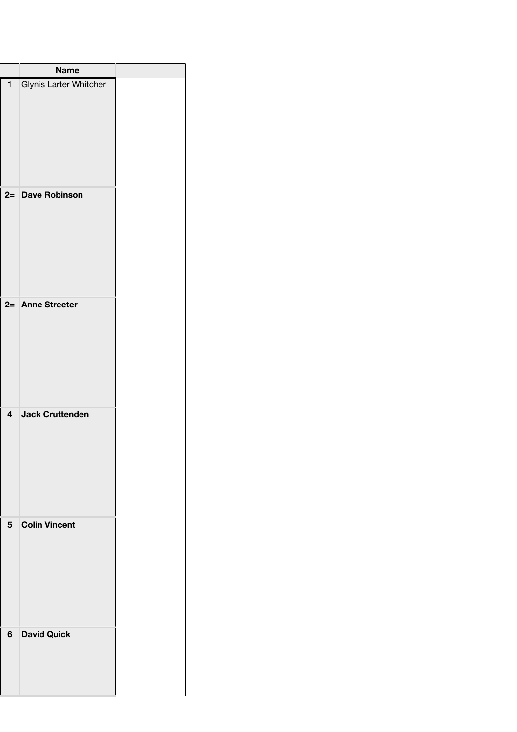|                         | <b>Name</b>            |  |
|-------------------------|------------------------|--|
| $\mathbf{1}$            | Glynis Larter Whitcher |  |
| $2=$                    | <b>Dave Robinson</b>   |  |
|                         | 2= Anne Streeter       |  |
| $\overline{\mathbf{4}}$ | <b>Jack Cruttenden</b> |  |
| 5                       | <b>Colin Vincent</b>   |  |
| 6                       | <b>David Quick</b>     |  |